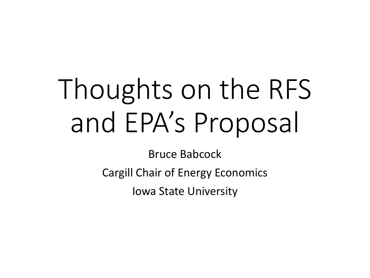# Thoughts on the RFS and EPA's Proposal

Bruce Babcock

Cargill Chair of Energy Economics

Iowa State University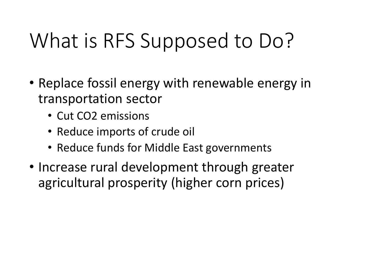# What is RFS Supposed to Do?

- Replace fossil energy with renewable energy in transportation sector
	- Cut CO2 emissions
	- Reduce imports of crude oil
	- Reduce funds for Middle East governments
- Increase rural development through greater agricultural prosperity (higher corn prices)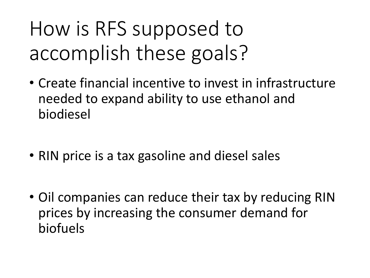# How is RFS supposed to accomplish these goals?

- Create financial incentive to invest in infrastructure needed to expand ability to use ethanol and biodiesel
- RIN price is a tax gasoline and diesel sales
- Oil companies can reduce their tax by reducing RIN prices by increasing the consumer demand for biofuels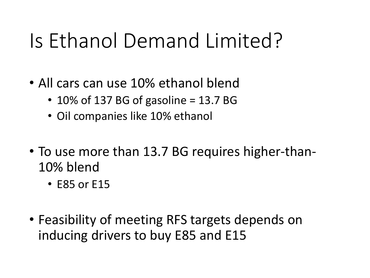## Is Ethanol Demand Limited?

- All cars can use 10% ethanol blend
	- 10% of 137 BG of gasoline = 13.7 BG
	- Oil companies like 10% ethanol
- To use more than 13.7 BG requires higher-than-10% blend
	- E85 or E15
- Feasibility of meeting RFS targets depends on inducing drivers to buy E85 and E15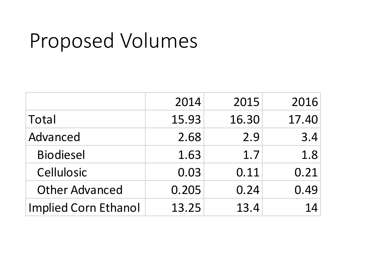### Proposed Volumes

|                             | 2014  | 2015  | 2016  |
|-----------------------------|-------|-------|-------|
| Total                       | 15.93 | 16.30 | 17.40 |
| Advanced                    | 2.68  | 2.9   | 3.4   |
| <b>Biodiesel</b>            | 1.63  | 1.7   | 1.8   |
| Cellulosic                  | 0.03  | 0.11  | 0.21  |
| <b>Other Advanced</b>       | 0.205 | 0.24  | 0.49  |
| <b>Implied Corn Ethanol</b> | 13.25 | 13.4  | 14    |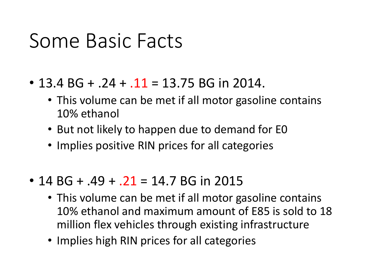#### Some Basic Facts

- $\cdot$  13.4 BG + .24 + .11 = 13.75 BG in 2014.
	- This volume can be met if all motor gasoline contains 10% ethanol
	- But not likely to happen due to demand for E0
	- Implies positive RIN prices for all categories
- 14 BG +  $.49 + .21 = 14.7$  BG in 2015
	- This volume can be met if all motor gasoline contains 10% ethanol and maximum amount of E85 is sold to 18 million flex vehicles through existing infrastructure
	- Implies high RIN prices for all categories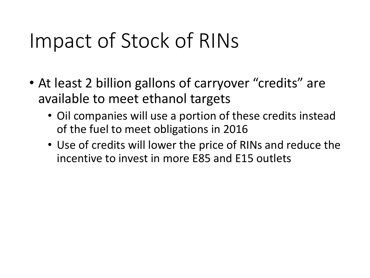#### Impact of Stock of RINs

- At least 2 billion gallons of carryover "credits" are available to meet ethanol targets
	- Oil companies will use a portion of these credits instead of the fuel to meet obligations in 2016
	- Use of credits will lower the price of RINs and reduce the incentive to invest in more E85 and E15 outlets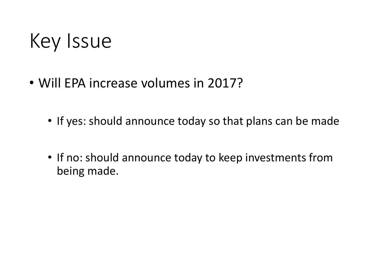#### Key Issue

- Will EPA increase volumes in 2017?
	- If yes: should announce today so that plans can be made
	- If no: should announce today to keep investments from being made.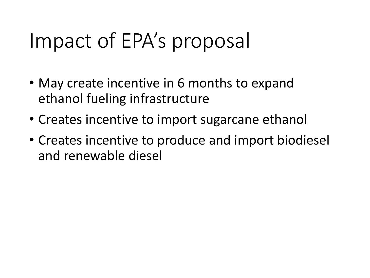#### Impact of EPA's proposal

- May create incentive in 6 months to expand ethanol fueling infrastructure
- Creates incentive to import sugarcane ethanol
- Creates incentive to produce and import biodiesel and renewable diesel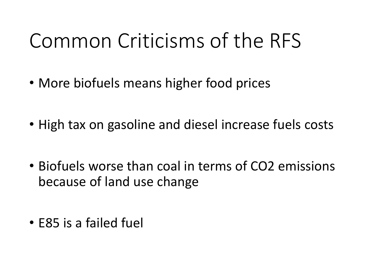### Common Criticisms of the RFS

- More biofuels means higher food prices
- High tax on gasoline and diesel increase fuels costs
- Biofuels worse than coal in terms of CO2 emissions because of land use change
- E85 is a failed fuel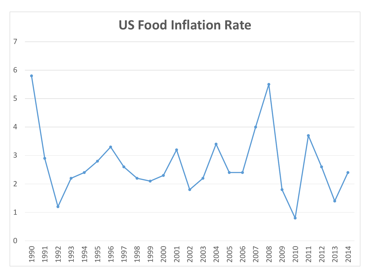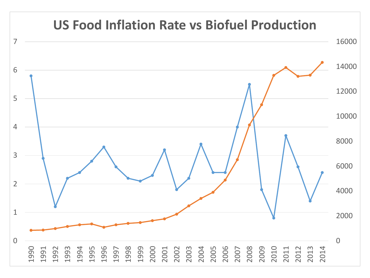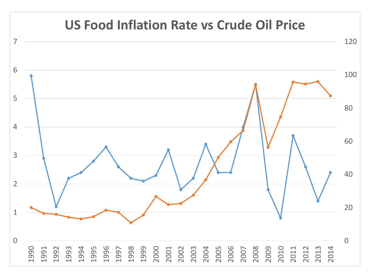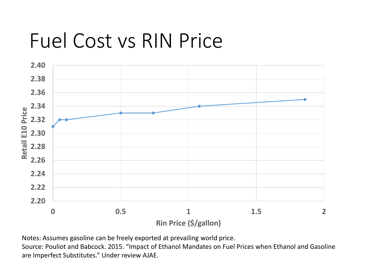#### Fuel Cost vs RIN Price



Notes: Assumes gasoline can be freely exported at prevailing world price.

Source: Pouliot and Babcock. 2015. "Impact of Ethanol Mandates on Fuel Prices when Ethanol and Gasoline are Imperfect Substitutes." Under review AJAE.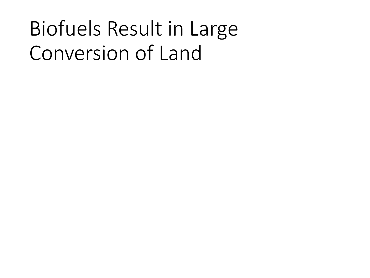# Biofuels Result in Large Conversion of Land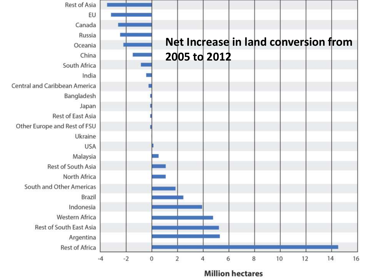

**Million hectares**